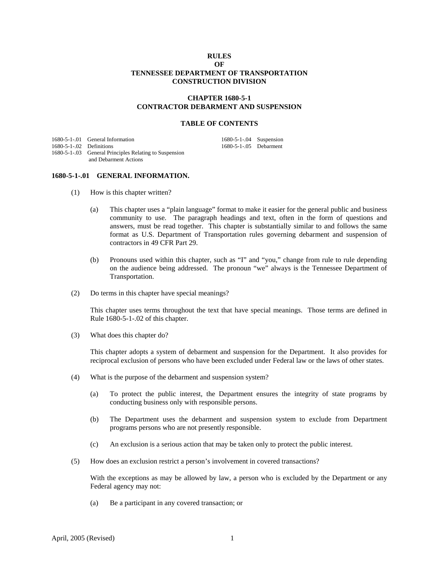# **RULES OF TENNESSEE DEPARTMENT OF TRANSPORTATION CONSTRUCTION DIVISION**

# **CHAPTER 1680-5-1 CONTRACTOR DEBARMENT AND SUSPENSION**

## **TABLE OF CONTENTS**

1680-5-1-.01 General Information 1680-5-1-.04 Suspension 1680-5-1-.02 Definitions 1680-5-1-.03 General Principles Relating to Suspension and Debarment Actions

# **1680-5-1-.01 GENERAL INFORMATION.**

- (1) How is this chapter written?
	- (a) This chapter uses a "plain language" format to make it easier for the general public and business community to use. The paragraph headings and text, often in the form of questions and answers, must be read together. This chapter is substantially similar to and follows the same format as U.S. Department of Transportation rules governing debarment and suspension of contractors in 49 CFR Part 29.
	- (b) Pronouns used within this chapter, such as "I" and "you," change from rule to rule depending on the audience being addressed. The pronoun "we" always is the Tennessee Department of Transportation.
- (2) Do terms in this chapter have special meanings?

This chapter uses terms throughout the text that have special meanings. Those terms are defined in Rule 1680-5-1-.02 of this chapter.

(3) What does this chapter do?

This chapter adopts a system of debarment and suspension for the Department. It also provides for reciprocal exclusion of persons who have been excluded under Federal law or the laws of other states.

- (4) What is the purpose of the debarment and suspension system?
	- (a) To protect the public interest, the Department ensures the integrity of state programs by conducting business only with responsible persons.
	- (b) The Department uses the debarment and suspension system to exclude from Department programs persons who are not presently responsible.
	- (c) An exclusion is a serious action that may be taken only to protect the public interest.
- (5) How does an exclusion restrict a person's involvement in covered transactions?

With the exceptions as may be allowed by law, a person who is excluded by the Department or any Federal agency may not:

(a) Be a participant in any covered transaction; or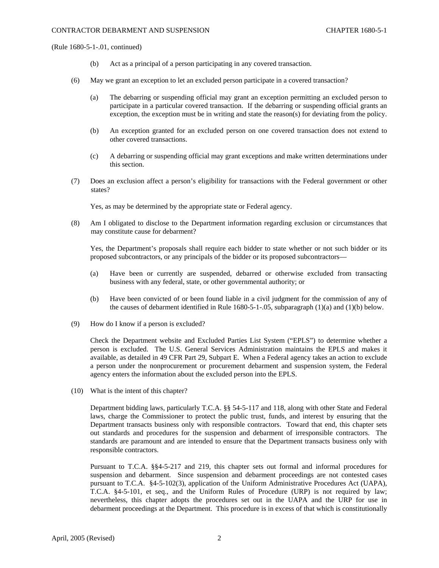- (b) Act as a principal of a person participating in any covered transaction.
- (6) May we grant an exception to let an excluded person participate in a covered transaction?
	- (a) The debarring or suspending official may grant an exception permitting an excluded person to participate in a particular covered transaction. If the debarring or suspending official grants an exception, the exception must be in writing and state the reason(s) for deviating from the policy.
	- (b) An exception granted for an excluded person on one covered transaction does not extend to other covered transactions.
	- (c) A debarring or suspending official may grant exceptions and make written determinations under this section.
- (7) Does an exclusion affect a person's eligibility for transactions with the Federal government or other states?

Yes, as may be determined by the appropriate state or Federal agency.

(8) Am I obligated to disclose to the Department information regarding exclusion or circumstances that may constitute cause for debarment?

Yes, the Department's proposals shall require each bidder to state whether or not such bidder or its proposed subcontractors, or any principals of the bidder or its proposed subcontractors—

- (a) Have been or currently are suspended, debarred or otherwise excluded from transacting business with any federal, state, or other governmental authority; or
- (b) Have been convicted of or been found liable in a civil judgment for the commission of any of the causes of debarment identified in Rule 1680-5-1-0.05, subparagraph  $(1)(a)$  and  $(1)(b)$  below.
- (9) How do I know if a person is excluded?

Check the Department website and Excluded Parties List System ("EPLS") to determine whether a person is excluded. The U.S. General Services Administration maintains the EPLS and makes it available, as detailed in 49 CFR Part 29, Subpart E. When a Federal agency takes an action to exclude a person under the nonprocurement or procurement debarment and suspension system, the Federal agency enters the information about the excluded person into the EPLS.

(10) What is the intent of this chapter?

Department bidding laws, particularly T.C.A. §§ 54-5-117 and 118, along with other State and Federal laws, charge the Commissioner to protect the public trust, funds, and interest by ensuring that the Department transacts business only with responsible contractors. Toward that end, this chapter sets out standards and procedures for the suspension and debarment of irresponsible contractors. The standards are paramount and are intended to ensure that the Department transacts business only with responsible contractors.

Pursuant to T.C.A. §§4-5-217 and 219, this chapter sets out formal and informal procedures for suspension and debarment. Since suspension and debarment proceedings are not contested cases pursuant to T.C.A. §4-5-102(3), application of the Uniform Administrative Procedures Act (UAPA), T.C.A. §4-5-101, et seq., and the Uniform Rules of Procedure (URP) is not required by law; nevertheless, this chapter adopts the procedures set out in the UAPA and the URP for use in debarment proceedings at the Department. This procedure is in excess of that which is constitutionally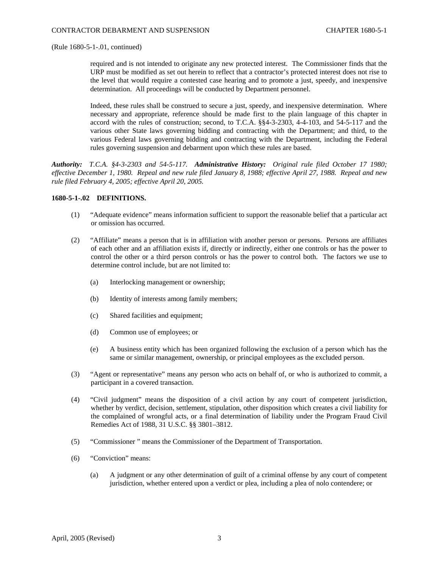required and is not intended to originate any new protected interest. The Commissioner finds that the URP must be modified as set out herein to reflect that a contractor's protected interest does not rise to the level that would require a contested case hearing and to promote a just, speedy, and inexpensive determination. All proceedings will be conducted by Department personnel.

Indeed, these rules shall be construed to secure a just, speedy, and inexpensive determination. Where necessary and appropriate, reference should be made first to the plain language of this chapter in accord with the rules of construction; second, to T.C.A. §§4-3-2303, 4-4-103, and 54-5-117 and the various other State laws governing bidding and contracting with the Department; and third, to the various Federal laws governing bidding and contracting with the Department, including the Federal rules governing suspension and debarment upon which these rules are based.

*Authority: T.C.A. §4-3-2303 and 54-5-117. Administrative History: Original rule filed October 17 1980; effective December 1, 1980. Repeal and new rule filed January 8, 1988; effective April 27, 1988. Repeal and new rule filed February 4, 2005; effective April 20, 2005.* 

# **1680-5-1-.02 DEFINITIONS.**

- (1) "Adequate evidence" means information sufficient to support the reasonable belief that a particular act or omission has occurred.
- (2) "Affiliate" means a person that is in affiliation with another person or persons. Persons are affiliates of each other and an affiliation exists if, directly or indirectly, either one controls or has the power to control the other or a third person controls or has the power to control both. The factors we use to determine control include, but are not limited to:
	- (a) Interlocking management or ownership;
	- (b) Identity of interests among family members;
	- (c) Shared facilities and equipment;
	- (d) Common use of employees; or
	- (e) A business entity which has been organized following the exclusion of a person which has the same or similar management, ownership, or principal employees as the excluded person.
- (3) "Agent or representative" means any person who acts on behalf of, or who is authorized to commit, a participant in a covered transaction.
- (4) "Civil judgment" means the disposition of a civil action by any court of competent jurisdiction, whether by verdict, decision, settlement, stipulation, other disposition which creates a civil liability for the complained of wrongful acts, or a final determination of liability under the Program Fraud Civil Remedies Act of 1988, 31 U.S.C. §§ 3801–3812.
- (5) "Commissioner " means the Commissioner of the Department of Transportation.
- (6) "Conviction" means:
	- (a) A judgment or any other determination of guilt of a criminal offense by any court of competent jurisdiction, whether entered upon a verdict or plea, including a plea of nolo contendere; or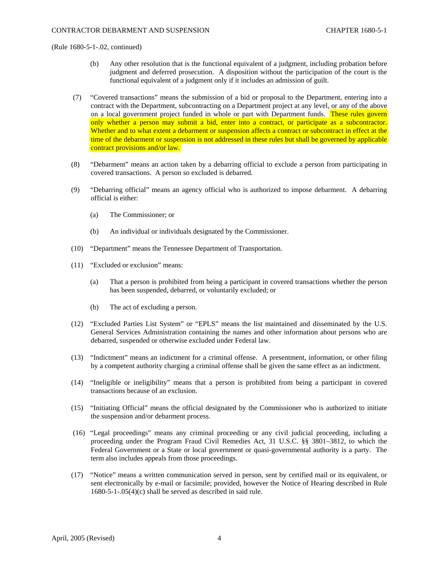- (b) Any other resolution that is the functional equivalent of a judgment, including probation before judgment and deferred prosecution. A disposition without the participation of the court is the functional equivalent of a judgment only if it includes an admission of guilt.
- (7) "Covered transactions" means the submission of a bid or proposal to the Department, entering into a contract with the Department, subcontracting on a Department project at any level, or any of the above on a local government project funded in whole or part with Department funds. These rules govern only whether a person may submit a bid, enter into a contract, or participate as a subcontractor. Whether and to what extent a debarment or suspension affects a contract or subcontract in effect at the time of the debarment or suspension is not addressed in these rules but shall be governed by applicable contract provisions and/or law.
- (8) "Debarment" means an action taken by a debarring official to exclude a person from participating in covered transactions. A person so excluded is debarred.
- (9) "Debarring official" means an agency official who is authorized to impose debarment. A debarring official is either:
	- (a) The Commissioner; or
	- (b) An individual or individuals designated by the Commissioner.
- (10) "Department" means the Tennessee Department of Transportation.
- (11) "Excluded or exclusion" means:
	- (a) That a person is prohibited from being a participant in covered transactions whether the person has been suspended, debarred, or voluntarily excluded; or
	- (b) The act of excluding a person.
- (12) "Excluded Parties List System" or "EPLS" means the list maintained and disseminated by the U.S. General Services Administration containing the names and other information about persons who are debarred, suspended or otherwise excluded under Federal law.
- (13) "Indictment" means an indictment for a criminal offense. A presentment, information, or other filing by a competent authority charging a criminal offense shall be given the same effect as an indictment.
- (14) "Ineligible or ineligibility" means that a person is prohibited from being a participant in covered transactions because of an exclusion.
- (15) "Initiating Official" means the official designated by the Commissioner who is authorized to initiate the suspension and/or debarment process.
- (16) "Legal proceedings" means any criminal proceeding or any civil judicial proceeding, including a proceeding under the Program Fraud Civil Remedies Act, 31 U.S.C. §§ 3801–3812, to which the Federal Government or a State or local government or quasi-governmental authority is a party. The term also includes appeals from those proceedings.
- (17) "Notice" means a written communication served in person, sent by certified mail or its equivalent, or sent electronically by e-mail or facsimile; provided, however the Notice of Hearing described in Rule 1680-5-1-.05(4)(c) shall be served as described in said rule.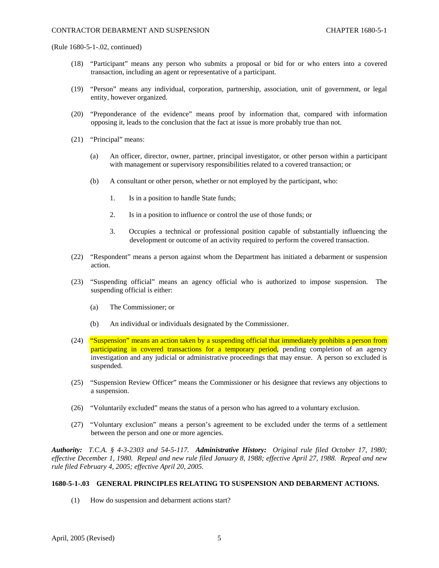- (18) "Participant" means any person who submits a proposal or bid for or who enters into a covered transaction, including an agent or representative of a participant.
- (19) "Person" means any individual, corporation, partnership, association, unit of government, or legal entity, however organized.
- (20) "Preponderance of the evidence" means proof by information that, compared with information opposing it, leads to the conclusion that the fact at issue is more probably true than not.
- (21) "Principal" means:
	- (a) An officer, director, owner, partner, principal investigator, or other person within a participant with management or supervisory responsibilities related to a covered transaction; or
	- (b) A consultant or other person, whether or not employed by the participant, who:
		- 1. Is in a position to handle State funds;
		- 2. Is in a position to influence or control the use of those funds; or
		- 3. Occupies a technical or professional position capable of substantially influencing the development or outcome of an activity required to perform the covered transaction.
- (22) "Respondent" means a person against whom the Department has initiated a debarment or suspension action.
- (23) "Suspending official" means an agency official who is authorized to impose suspension. The suspending official is either:
	- (a) The Commissioner; or
	- (b) An individual or individuals designated by the Commissioner.
- (24) "Suspension" means an action taken by a suspending official that immediately prohibits a person from participating in covered transactions for a temporary period, pending completion of an agency investigation and any judicial or administrative proceedings that may ensue. A person so excluded is suspended.
- (25) "Suspension Review Officer" means the Commissioner or his designee that reviews any objections to a suspension.
- (26) "Voluntarily excluded" means the status of a person who has agreed to a voluntary exclusion.
- (27) "Voluntary exclusion" means a person's agreement to be excluded under the terms of a settlement between the person and one or more agencies.

*Authority: T.C.A. § 4-3-2303 and 54-5-117. Administrative History: Original rule filed October 17, 1980; effective December 1, 1980. Repeal and new rule filed January 8, 1988; effective April 27, 1988. Repeal and new rule filed February 4, 2005; effective April 20, 2005.* 

# **1680-5-1-.03 GENERAL PRINCIPLES RELATING TO SUSPENSION AND DEBARMENT ACTIONS.**

(1) How do suspension and debarment actions start?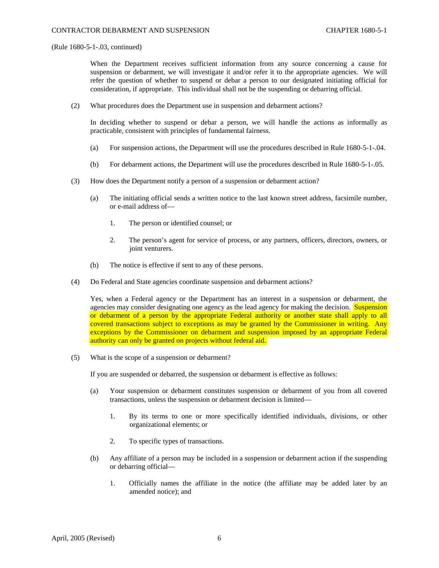When the Department receives sufficient information from any source concerning a cause for suspension or debarment, we will investigate it and/or refer it to the appropriate agencies. We will refer the question of whether to suspend or debar a person to our designated initiating official for consideration, if appropriate. This individual shall not be the suspending or debarring official.

(2) What procedures does the Department use in suspension and debarment actions?

In deciding whether to suspend or debar a person, we will handle the actions as informally as practicable, consistent with principles of fundamental fairness.

- (a) For suspension actions, the Department will use the procedures described in Rule 1680-5-1-.04.
- (b) For debarment actions, the Department will use the procedures described in Rule 1680-5-1-.05.
- (3) How does the Department notify a person of a suspension or debarment action?
	- (a) The initiating official sends a written notice to the last known street address, facsimile number, or e-mail address of—
		- 1. The person or identified counsel; or
		- 2. The person's agent for service of process, or any partners, officers, directors, owners, or joint venturers.
	- (b) The notice is effective if sent to any of these persons.
- (4) Do Federal and State agencies coordinate suspension and debarment actions?

Yes, when a Federal agency or the Department has an interest in a suspension or debarment, the agencies may consider designating one agency as the lead agency for making the decision. **Suspension** or debarment of a person by the appropriate Federal authority or another state shall apply to all covered transactions subject to exceptions as may be granted by the Commissioner in writing. Any exceptions by the Commissioner on debarment and suspension imposed by an appropriate Federal authority can only be granted on projects without federal aid.

(5) What is the scope of a suspension or debarment?

If you are suspended or debarred, the suspension or debarment is effective as follows:

- (a) Your suspension or debarment constitutes suspension or debarment of you from all covered transactions, unless the suspension or debarment decision is limited—
	- 1. By its terms to one or more specifically identified individuals, divisions, or other organizational elements; or
	- 2. To specific types of transactions.
- (b) Any affiliate of a person may be included in a suspension or debarment action if the suspending or debarring official—
	- 1. Officially names the affiliate in the notice (the affiliate may be added later by an amended notice); and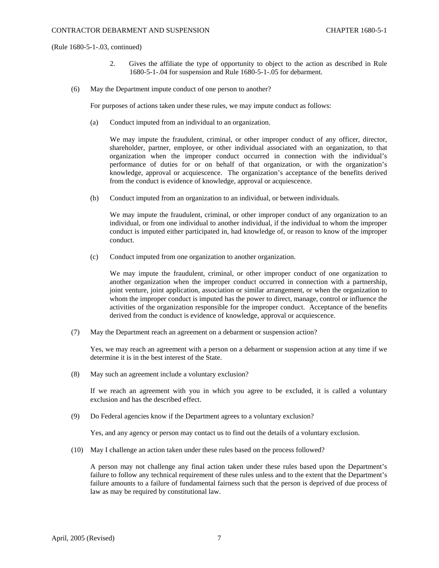- 2. Gives the affiliate the type of opportunity to object to the action as described in Rule 1680-5-1-.04 for suspension and Rule 1680-5-1-.05 for debarment.
- (6) May the Department impute conduct of one person to another?

For purposes of actions taken under these rules, we may impute conduct as follows:

(a) Conduct imputed from an individual to an organization.

We may impute the fraudulent, criminal, or other improper conduct of any officer, director, shareholder, partner, employee, or other individual associated with an organization, to that organization when the improper conduct occurred in connection with the individual's performance of duties for or on behalf of that organization, or with the organization's knowledge, approval or acquiescence. The organization's acceptance of the benefits derived from the conduct is evidence of knowledge, approval or acquiescence.

(b) Conduct imputed from an organization to an individual, or between individuals.

We may impute the fraudulent, criminal, or other improper conduct of any organization to an individual, or from one individual to another individual, if the individual to whom the improper conduct is imputed either participated in, had knowledge of, or reason to know of the improper conduct.

(c) Conduct imputed from one organization to another organization.

We may impute the fraudulent, criminal, or other improper conduct of one organization to another organization when the improper conduct occurred in connection with a partnership, joint venture, joint application, association or similar arrangement, or when the organization to whom the improper conduct is imputed has the power to direct, manage, control or influence the activities of the organization responsible for the improper conduct. Acceptance of the benefits derived from the conduct is evidence of knowledge, approval or acquiescence.

(7) May the Department reach an agreement on a debarment or suspension action?

Yes, we may reach an agreement with a person on a debarment or suspension action at any time if we determine it is in the best interest of the State.

(8) May such an agreement include a voluntary exclusion?

If we reach an agreement with you in which you agree to be excluded, it is called a voluntary exclusion and has the described effect.

(9) Do Federal agencies know if the Department agrees to a voluntary exclusion?

Yes, and any agency or person may contact us to find out the details of a voluntary exclusion.

(10) May I challenge an action taken under these rules based on the process followed?

A person may not challenge any final action taken under these rules based upon the Department's failure to follow any technical requirement of these rules unless and to the extent that the Department's failure amounts to a failure of fundamental fairness such that the person is deprived of due process of law as may be required by constitutional law.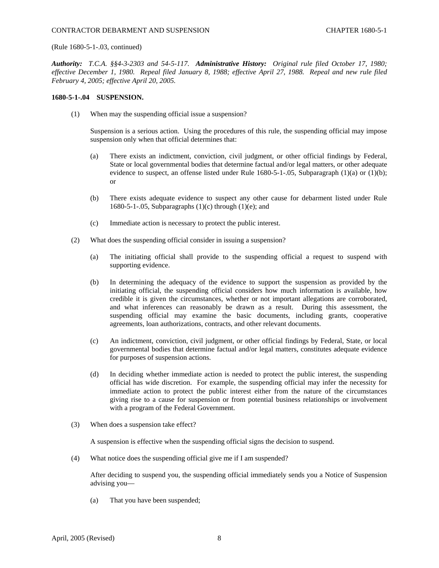*Authority: T.C.A. §§4-3-2303 and 54-5-117. Administrative History: Original rule filed October 17, 1980; effective December 1, 1980. Repeal filed January 8, 1988; effective April 27, 1988. Repeal and new rule filed February 4, 2005; effective April 20, 2005.* 

### **1680-5-1-.04 SUSPENSION.**

(1) When may the suspending official issue a suspension?

Suspension is a serious action. Using the procedures of this rule, the suspending official may impose suspension only when that official determines that:

- (a) There exists an indictment, conviction, civil judgment, or other official findings by Federal, State or local governmental bodies that determine factual and/or legal matters, or other adequate evidence to suspect, an offense listed under Rule 1680-5-1-.05, Subparagraph (1)(a) or (1)(b); or
- (b) There exists adequate evidence to suspect any other cause for debarment listed under Rule 1680-5-1-.05, Subparagraphs  $(1)(c)$  through  $(1)(e)$ ; and
- (c) Immediate action is necessary to protect the public interest.
- (2) What does the suspending official consider in issuing a suspension?
	- (a) The initiating official shall provide to the suspending official a request to suspend with supporting evidence.
	- (b) In determining the adequacy of the evidence to support the suspension as provided by the initiating official, the suspending official considers how much information is available, how credible it is given the circumstances, whether or not important allegations are corroborated, and what inferences can reasonably be drawn as a result. During this assessment, the suspending official may examine the basic documents, including grants, cooperative agreements, loan authorizations, contracts, and other relevant documents.
	- (c) An indictment, conviction, civil judgment, or other official findings by Federal, State, or local governmental bodies that determine factual and/or legal matters, constitutes adequate evidence for purposes of suspension actions.
	- (d) In deciding whether immediate action is needed to protect the public interest, the suspending official has wide discretion. For example, the suspending official may infer the necessity for immediate action to protect the public interest either from the nature of the circumstances giving rise to a cause for suspension or from potential business relationships or involvement with a program of the Federal Government.
- (3) When does a suspension take effect?

A suspension is effective when the suspending official signs the decision to suspend.

(4) What notice does the suspending official give me if I am suspended?

After deciding to suspend you, the suspending official immediately sends you a Notice of Suspension advising you—

(a) That you have been suspended;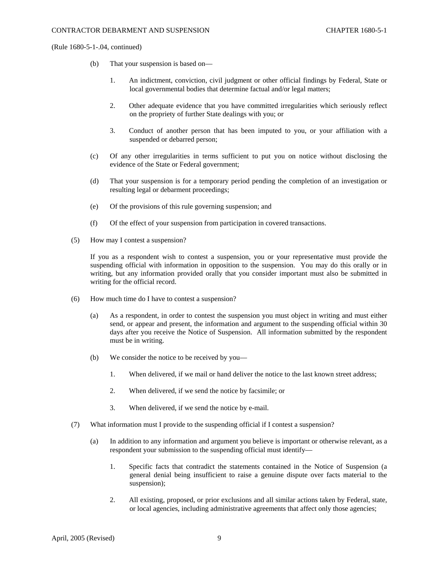- (b) That your suspension is based on—
	- 1. An indictment, conviction, civil judgment or other official findings by Federal, State or local governmental bodies that determine factual and/or legal matters;
	- 2. Other adequate evidence that you have committed irregularities which seriously reflect on the propriety of further State dealings with you; or
	- 3. Conduct of another person that has been imputed to you, or your affiliation with a suspended or debarred person;
- (c) Of any other irregularities in terms sufficient to put you on notice without disclosing the evidence of the State or Federal government;
- (d) That your suspension is for a temporary period pending the completion of an investigation or resulting legal or debarment proceedings;
- (e) Of the provisions of this rule governing suspension; and
- (f) Of the effect of your suspension from participation in covered transactions.
- (5) How may I contest a suspension?

If you as a respondent wish to contest a suspension, you or your representative must provide the suspending official with information in opposition to the suspension. You may do this orally or in writing, but any information provided orally that you consider important must also be submitted in writing for the official record.

- (6) How much time do I have to contest a suspension?
	- (a) As a respondent, in order to contest the suspension you must object in writing and must either send, or appear and present, the information and argument to the suspending official within 30 days after you receive the Notice of Suspension. All information submitted by the respondent must be in writing.
	- (b) We consider the notice to be received by you—
		- 1. When delivered, if we mail or hand deliver the notice to the last known street address;
		- 2. When delivered, if we send the notice by facsimile; or
		- 3. When delivered, if we send the notice by e-mail.
- (7) What information must I provide to the suspending official if I contest a suspension?
	- (a) In addition to any information and argument you believe is important or otherwise relevant, as a respondent your submission to the suspending official must identify—
		- 1. Specific facts that contradict the statements contained in the Notice of Suspension (a general denial being insufficient to raise a genuine dispute over facts material to the suspension);
		- 2. All existing, proposed, or prior exclusions and all similar actions taken by Federal, state, or local agencies, including administrative agreements that affect only those agencies;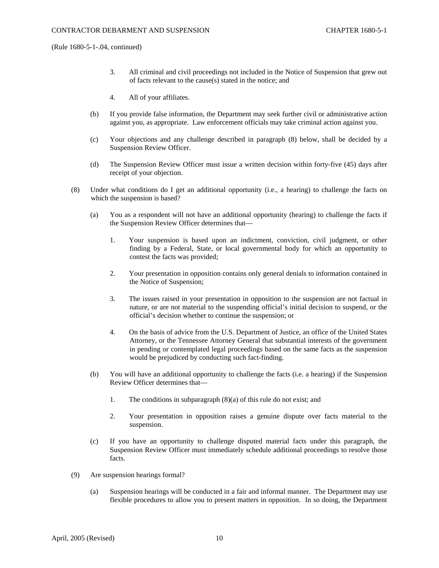- 3. All criminal and civil proceedings not included in the Notice of Suspension that grew out of facts relevant to the cause(s) stated in the notice; and
- 4. All of your affiliates.
- (b) If you provide false information, the Department may seek further civil or administrative action against you, as appropriate. Law enforcement officials may take criminal action against you.
- (c) Your objections and any challenge described in paragraph (8) below, shall be decided by a Suspension Review Officer.
- (d) The Suspension Review Officer must issue a written decision within forty-five (45) days after receipt of your objection.
- (8) Under what conditions do I get an additional opportunity (i.e., a hearing) to challenge the facts on which the suspension is based?
	- (a) You as a respondent will not have an additional opportunity (hearing) to challenge the facts if the Suspension Review Officer determines that—
		- 1. Your suspension is based upon an indictment, conviction, civil judgment, or other finding by a Federal, State, or local governmental body for which an opportunity to contest the facts was provided;
		- 2. Your presentation in opposition contains only general denials to information contained in the Notice of Suspension;
		- 3. The issues raised in your presentation in opposition to the suspension are not factual in nature, or are not material to the suspending official's initial decision to suspend, or the official's decision whether to continue the suspension; or
		- 4. On the basis of advice from the U.S. Department of Justice, an office of the United States Attorney, or the Tennessee Attorney General that substantial interests of the government in pending or contemplated legal proceedings based on the same facts as the suspension would be prejudiced by conducting such fact-finding.
	- (b) You will have an additional opportunity to challenge the facts (i.e. a hearing) if the Suspension Review Officer determines that—
		- 1. The conditions in subparagraph (8)(a) of this rule do not exist; and
		- 2. Your presentation in opposition raises a genuine dispute over facts material to the suspension.
	- (c) If you have an opportunity to challenge disputed material facts under this paragraph, the Suspension Review Officer must immediately schedule additional proceedings to resolve those facts.
- (9) Are suspension hearings formal?
	- (a) Suspension hearings will be conducted in a fair and informal manner. The Department may use flexible procedures to allow you to present matters in opposition. In so doing, the Department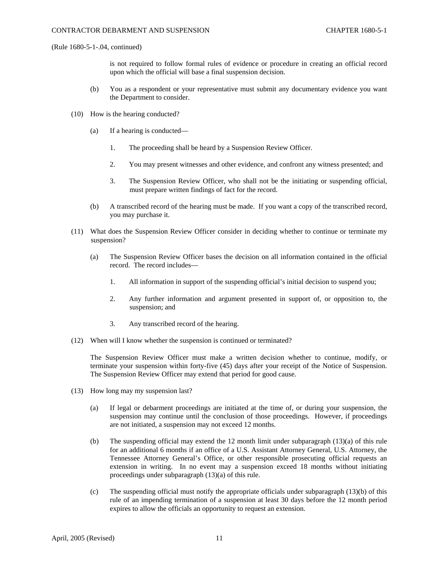is not required to follow formal rules of evidence or procedure in creating an official record upon which the official will base a final suspension decision.

- (b) You as a respondent or your representative must submit any documentary evidence you want the Department to consider.
- (10) How is the hearing conducted?
	- (a) If a hearing is conducted—
		- 1. The proceeding shall be heard by a Suspension Review Officer.
		- 2. You may present witnesses and other evidence, and confront any witness presented; and
		- 3. The Suspension Review Officer, who shall not be the initiating or suspending official, must prepare written findings of fact for the record.
	- (b) A transcribed record of the hearing must be made. If you want a copy of the transcribed record, you may purchase it.
- (11) What does the Suspension Review Officer consider in deciding whether to continue or terminate my suspension?
	- (a) The Suspension Review Officer bases the decision on all information contained in the official record. The record includes—
		- 1. All information in support of the suspending official's initial decision to suspend you;
		- 2. Any further information and argument presented in support of, or opposition to, the suspension; and
		- 3. Any transcribed record of the hearing.
- (12) When will I know whether the suspension is continued or terminated?

The Suspension Review Officer must make a written decision whether to continue, modify, or terminate your suspension within forty-five (45) days after your receipt of the Notice of Suspension. The Suspension Review Officer may extend that period for good cause.

- (13) How long may my suspension last?
	- (a) If legal or debarment proceedings are initiated at the time of, or during your suspension, the suspension may continue until the conclusion of those proceedings. However, if proceedings are not initiated, a suspension may not exceed 12 months.
	- (b) The suspending official may extend the 12 month limit under subparagraph (13)(a) of this rule for an additional 6 months if an office of a U.S. Assistant Attorney General, U.S. Attorney, the Tennessee Attorney General's Office, or other responsible prosecuting official requests an extension in writing. In no event may a suspension exceed 18 months without initiating proceedings under subparagraph (13)(a) of this rule.
	- (c) The suspending official must notify the appropriate officials under subparagraph (13)(b) of this rule of an impending termination of a suspension at least 30 days before the 12 month period expires to allow the officials an opportunity to request an extension.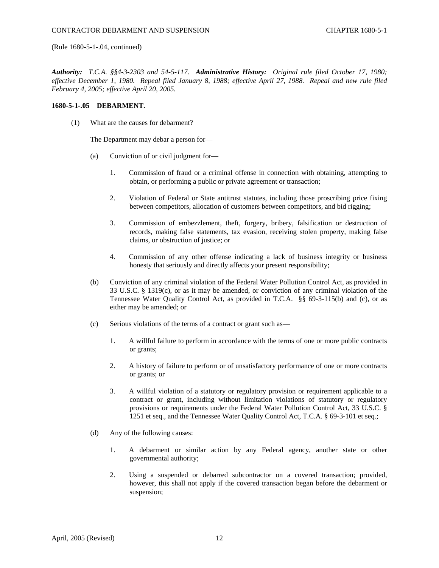*Authority: T.C.A. §§4-3-2303 and 54-5-117. Administrative History: Original rule filed October 17, 1980; effective December 1, 1980. Repeal filed January 8, 1988; effective April 27, 1988. Repeal and new rule filed February 4, 2005; effective April 20, 2005.* 

## **1680-5-1-.05 DEBARMENT.**

(1) What are the causes for debarment?

The Department may debar a person for—

- (a) Conviction of or civil judgment for—
	- 1. Commission of fraud or a criminal offense in connection with obtaining, attempting to obtain, or performing a public or private agreement or transaction;
	- 2. Violation of Federal or State antitrust statutes, including those proscribing price fixing between competitors, allocation of customers between competitors, and bid rigging;
	- 3. Commission of embezzlement, theft, forgery, bribery, falsification or destruction of records, making false statements, tax evasion, receiving stolen property, making false claims, or obstruction of justice; or
	- 4. Commission of any other offense indicating a lack of business integrity or business honesty that seriously and directly affects your present responsibility;
- (b) Conviction of any criminal violation of the Federal Water Pollution Control Act, as provided in 33 U.S.C. § 1319(c), or as it may be amended, or conviction of any criminal violation of the Tennessee Water Quality Control Act, as provided in T.C.A. §§ 69-3-115(b) and (c), or as either may be amended; or
- (c) Serious violations of the terms of a contract or grant such as—
	- 1. A willful failure to perform in accordance with the terms of one or more public contracts or grants;
	- 2. A history of failure to perform or of unsatisfactory performance of one or more contracts or grants; or
	- 3. A willful violation of a statutory or regulatory provision or requirement applicable to a contract or grant, including without limitation violations of statutory or regulatory provisions or requirements under the Federal Water Pollution Control Act, 33 U.S.C. § 1251 et seq., and the Tennessee Water Quality Control Act, T.C.A. § 69-3-101 et seq.;
- (d) Any of the following causes:
	- 1. A debarment or similar action by any Federal agency, another state or other governmental authority;
	- 2. Using a suspended or debarred subcontractor on a covered transaction; provided, however, this shall not apply if the covered transaction began before the debarment or suspension;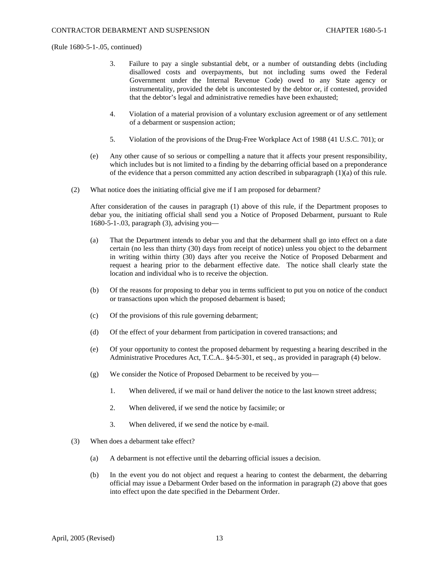- 3. Failure to pay a single substantial debt, or a number of outstanding debts (including disallowed costs and overpayments, but not including sums owed the Federal Government under the Internal Revenue Code) owed to any State agency or instrumentality, provided the debt is uncontested by the debtor or, if contested, provided that the debtor's legal and administrative remedies have been exhausted;
- 4. Violation of a material provision of a voluntary exclusion agreement or of any settlement of a debarment or suspension action;
- 5. Violation of the provisions of the Drug-Free Workplace Act of 1988 (41 U.S.C. 701); or
- (e) Any other cause of so serious or compelling a nature that it affects your present responsibility, which includes but is not limited to a finding by the debarring official based on a preponderance of the evidence that a person committed any action described in subparagraph  $(1)(a)$  of this rule.
- (2) What notice does the initiating official give me if I am proposed for debarment?

After consideration of the causes in paragraph (1) above of this rule, if the Department proposes to debar you, the initiating official shall send you a Notice of Proposed Debarment, pursuant to Rule 1680-5-1-.03, paragraph (3), advising you—

- (a) That the Department intends to debar you and that the debarment shall go into effect on a date certain (no less than thirty (30) days from receipt of notice) unless you object to the debarment in writing within thirty (30) days after you receive the Notice of Proposed Debarment and request a hearing prior to the debarment effective date. The notice shall clearly state the location and individual who is to receive the objection.
- (b) Of the reasons for proposing to debar you in terms sufficient to put you on notice of the conduct or transactions upon which the proposed debarment is based;
- (c) Of the provisions of this rule governing debarment;
- (d) Of the effect of your debarment from participation in covered transactions; and
- (e) Of your opportunity to contest the proposed debarment by requesting a hearing described in the Administrative Procedures Act, T.C.A.. §4-5-301, et seq., as provided in paragraph (4) below.
- (g) We consider the Notice of Proposed Debarment to be received by you—
	- 1. When delivered, if we mail or hand deliver the notice to the last known street address;
	- 2. When delivered, if we send the notice by facsimile; or
	- 3. When delivered, if we send the notice by e-mail.
- (3) When does a debarment take effect?
	- (a) A debarment is not effective until the debarring official issues a decision.
	- (b) In the event you do not object and request a hearing to contest the debarment, the debarring official may issue a Debarment Order based on the information in paragraph (2) above that goes into effect upon the date specified in the Debarment Order.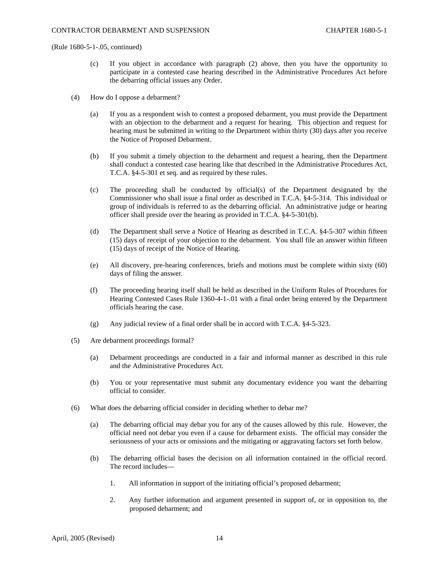- (c) If you object in accordance with paragraph (2) above, then you have the opportunity to participate in a contested case hearing described in the Administrative Procedures Act before the debarring official issues any Order.
- (4) How do I oppose a debarment?
	- (a) If you as a respondent wish to contest a proposed debarment, you must provide the Department with an objection to the debarment and a request for hearing. This objection and request for hearing must be submitted in writing to the Department within thirty (30) days after you receive the Notice of Proposed Debarment.
	- (b) If you submit a timely objection to the debarment and request a hearing, then the Department shall conduct a contested case hearing like that described in the Administrative Procedures Act, T.C.A. §4-5-301 et seq. and as required by these rules.
	- (c) The proceeding shall be conducted by official(s) of the Department designated by the Commissioner who shall issue a final order as described in T.C.A. §4-5-314. This individual or group of individuals is referred to as the debarring official. An administrative judge or hearing officer shall preside over the hearing as provided in T.C.A. §4-5-301(b).
	- (d) The Department shall serve a Notice of Hearing as described in T.C.A. §4-5-307 within fifteen (15) days of receipt of your objection to the debarment. You shall file an answer within fifteen (15) days of receipt of the Notice of Hearing.
	- (e) All discovery, pre-hearing conferences, briefs and motions must be complete within sixty (60) days of filing the answer.
	- (f) The proceeding hearing itself shall be held as described in the Uniform Rules of Procedures for Hearing Contested Cases Rule 1360-4-1-.01 with a final order being entered by the Department officials hearing the case.
	- (g) Any judicial review of a final order shall be in accord with T.C.A. §4-5-323.
- (5) Are debarment proceedings formal?
	- (a) Debarment proceedings are conducted in a fair and informal manner as described in this rule and the Administrative Procedures Act.
	- (b) You or your representative must submit any documentary evidence you want the debarring official to consider.
- (6) What does the debarring official consider in deciding whether to debar me?
	- (a) The debarring official may debar you for any of the causes allowed by this rule. However, the official need not debar you even if a cause for debarment exists. The official may consider the seriousness of your acts or omissions and the mitigating or aggravating factors set forth below.
	- (b) The debarring official bases the decision on all information contained in the official record. The record includes—
		- 1. All information in support of the initiating official's proposed debarment;
		- 2. Any further information and argument presented in support of, or in opposition to, the proposed debarment; and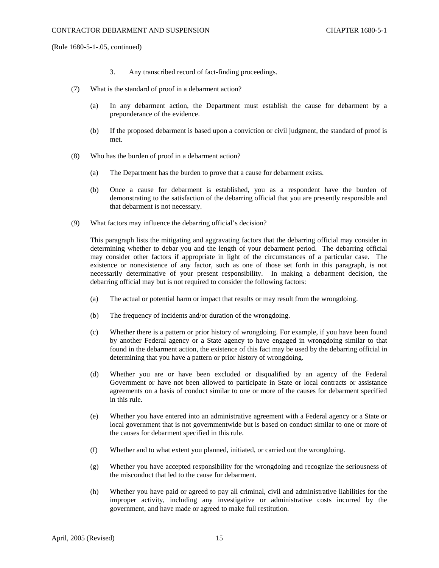- 3. Any transcribed record of fact-finding proceedings.
- (7) What is the standard of proof in a debarment action?
	- (a) In any debarment action, the Department must establish the cause for debarment by a preponderance of the evidence.
	- (b) If the proposed debarment is based upon a conviction or civil judgment, the standard of proof is met.
- (8) Who has the burden of proof in a debarment action?
	- (a) The Department has the burden to prove that a cause for debarment exists.
	- (b) Once a cause for debarment is established, you as a respondent have the burden of demonstrating to the satisfaction of the debarring official that you are presently responsible and that debarment is not necessary.
- (9) What factors may influence the debarring official's decision?

This paragraph lists the mitigating and aggravating factors that the debarring official may consider in determining whether to debar you and the length of your debarment period. The debarring official may consider other factors if appropriate in light of the circumstances of a particular case. The existence or nonexistence of any factor, such as one of those set forth in this paragraph, is not necessarily determinative of your present responsibility. In making a debarment decision, the debarring official may but is not required to consider the following factors:

- (a) The actual or potential harm or impact that results or may result from the wrongdoing.
- (b) The frequency of incidents and/or duration of the wrongdoing.
- (c) Whether there is a pattern or prior history of wrongdoing. For example, if you have been found by another Federal agency or a State agency to have engaged in wrongdoing similar to that found in the debarment action, the existence of this fact may be used by the debarring official in determining that you have a pattern or prior history of wrongdoing.
- (d) Whether you are or have been excluded or disqualified by an agency of the Federal Government or have not been allowed to participate in State or local contracts or assistance agreements on a basis of conduct similar to one or more of the causes for debarment specified in this rule.
- (e) Whether you have entered into an administrative agreement with a Federal agency or a State or local government that is not governmentwide but is based on conduct similar to one or more of the causes for debarment specified in this rule.
- (f) Whether and to what extent you planned, initiated, or carried out the wrongdoing.
- (g) Whether you have accepted responsibility for the wrongdoing and recognize the seriousness of the misconduct that led to the cause for debarment.
- (h) Whether you have paid or agreed to pay all criminal, civil and administrative liabilities for the improper activity, including any investigative or administrative costs incurred by the government, and have made or agreed to make full restitution.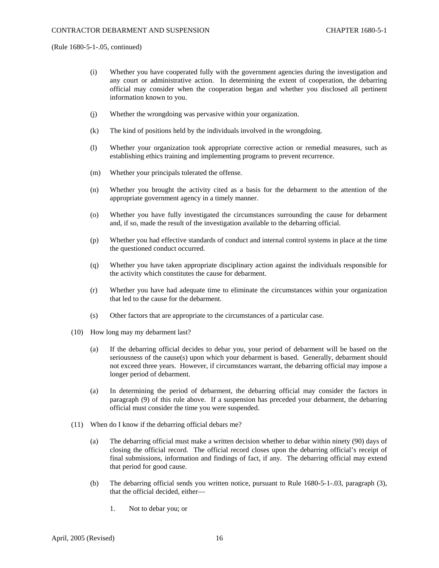- (i) Whether you have cooperated fully with the government agencies during the investigation and any court or administrative action. In determining the extent of cooperation, the debarring official may consider when the cooperation began and whether you disclosed all pertinent information known to you.
- (j) Whether the wrongdoing was pervasive within your organization.
- (k) The kind of positions held by the individuals involved in the wrongdoing.
- (l) Whether your organization took appropriate corrective action or remedial measures, such as establishing ethics training and implementing programs to prevent recurrence.
- (m) Whether your principals tolerated the offense.
- (n) Whether you brought the activity cited as a basis for the debarment to the attention of the appropriate government agency in a timely manner.
- (o) Whether you have fully investigated the circumstances surrounding the cause for debarment and, if so, made the result of the investigation available to the debarring official.
- (p) Whether you had effective standards of conduct and internal control systems in place at the time the questioned conduct occurred.
- (q) Whether you have taken appropriate disciplinary action against the individuals responsible for the activity which constitutes the cause for debarment.
- (r) Whether you have had adequate time to eliminate the circumstances within your organization that led to the cause for the debarment.
- (s) Other factors that are appropriate to the circumstances of a particular case.
- (10) How long may my debarment last?
	- (a) If the debarring official decides to debar you, your period of debarment will be based on the seriousness of the cause(s) upon which your debarment is based. Generally, debarment should not exceed three years. However, if circumstances warrant, the debarring official may impose a longer period of debarment.
	- (a) In determining the period of debarment, the debarring official may consider the factors in paragraph (9) of this rule above. If a suspension has preceded your debarment, the debarring official must consider the time you were suspended.
- (11) When do I know if the debarring official debars me?
	- (a) The debarring official must make a written decision whether to debar within ninety (90) days of closing the official record. The official record closes upon the debarring official's receipt of final submissions, information and findings of fact, if any. The debarring official may extend that period for good cause.
	- (b) The debarring official sends you written notice, pursuant to Rule 1680-5-1-.03, paragraph (3), that the official decided, either—
		- 1. Not to debar you; or